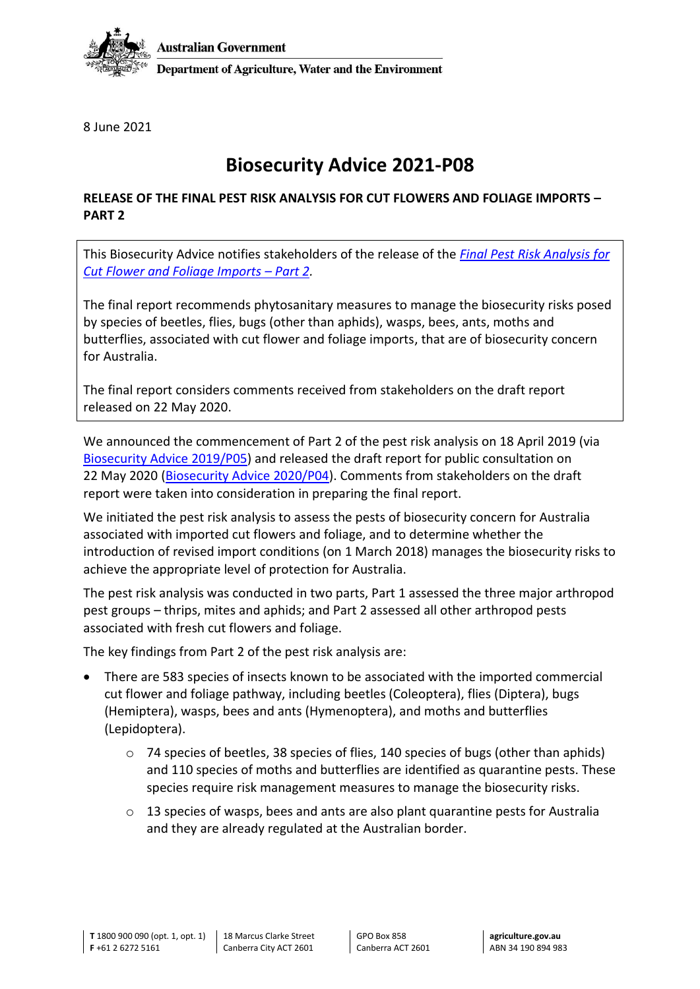

Department of Agriculture, Water and the Environment

8 June 2021

## **Biosecurity Advice 2021-P08**

## **RELEASE OF THE FINAL PEST RISK ANALYSIS FOR CUT FLOWERS AND FOLIAGE IMPORTS – PART 2**

This Biosecurity Advice notifies stakeholders of the release of the *[Final Pest Risk Analysis for](https://www.agriculture.gov.au/biosecurity/risk-analysis/plant/cut-flowers)  [Cut Flower and Foliage Imports](https://www.agriculture.gov.au/biosecurity/risk-analysis/plant/cut-flowers) – Part 2.*

The final report recommends phytosanitary measures to manage the biosecurity risks posed by species of beetles, flies, bugs (other than aphids), wasps, bees, ants, moths and butterflies, associated with cut flower and foliage imports, that are of biosecurity concern for Australia.

The final report considers comments received from stakeholders on the draft report released on 22 May 2020.

We announced the commencement of Part 2 of the pest risk analysis on 18 April 2019 (via [Biosecurity Advice 2019/P05\)](https://www.agriculture.gov.au/biosecurity/risk-analysis/memos/ba2019-p05) and released the draft report for public consultation on 22 May 2020 [\(Biosecurity Advice 2020/P04\)](https://www.agriculture.gov.au/biosecurity/risk-analysis/memos/ba2020-p04). Comments from stakeholders on the draft report were taken into consideration in preparing the final report.

We initiated the pest risk analysis to assess the pests of biosecurity concern for Australia associated with imported cut flowers and foliage, and to determine whether the introduction of revised import conditions (on 1 March 2018) manages the biosecurity risks to achieve the appropriate level of protection for Australia.

The pest risk analysis was conducted in two parts, Part 1 assessed the three major arthropod pest groups – thrips, mites and aphids; and Part 2 assessed all other arthropod pests associated with fresh cut flowers and foliage.

The key findings from Part 2 of the pest risk analysis are:

- There are 583 species of insects known to be associated with the imported commercial cut flower and foliage pathway, including beetles (Coleoptera), flies (Diptera), bugs (Hemiptera), wasps, bees and ants (Hymenoptera), and moths and butterflies (Lepidoptera).
	- $\circ$  74 species of beetles, 38 species of flies, 140 species of bugs (other than aphids) and 110 species of moths and butterflies are identified as quarantine pests. These species require risk management measures to manage the biosecurity risks.
	- $\circ$  13 species of wasps, bees and ants are also plant quarantine pests for Australia and they are already regulated at the Australian border.